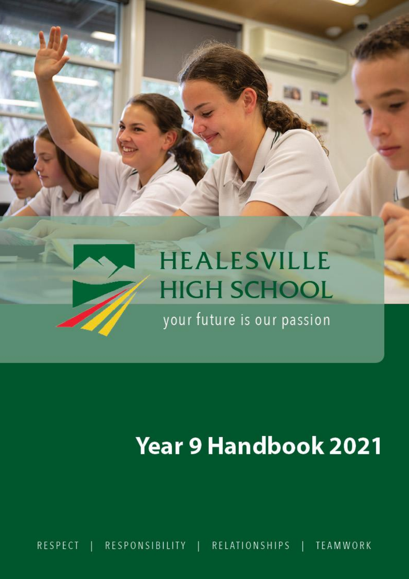

# **Year 9 Handbook 2021**

**RESPECT** RESPONSIBILITY | RELATIONSHIPS **TEAMWORK**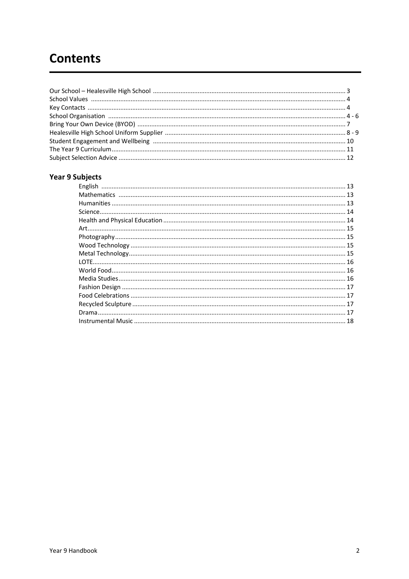# **Contents**

# **Year 9 Subjects**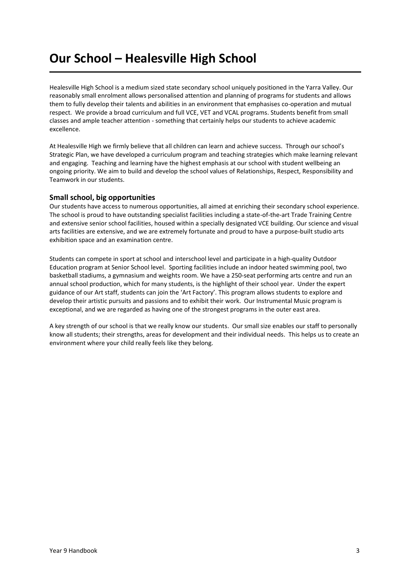# **Our School – Healesville High School**

Healesville High School is a medium sized state secondary school uniquely positioned in the Yarra Valley. Our reasonably small enrolment allows personalised attention and planning of programs for students and allows them to fully develop their talents and abilities in an environment that emphasises co-operation and mutual respect. We provide a broad curriculum and full VCE, VET and VCAL programs. Students benefit from small classes and ample teacher attention - something that certainly helps our students to achieve academic excellence.

At Healesville High we firmly believe that all children can learn and achieve success. Through our school's Strategic Plan, we have developed a curriculum program and teaching strategies which make learning relevant and engaging. Teaching and learning have the highest emphasis at our school with student wellbeing an ongoing priority. We aim to build and develop the school values of Relationships, Respect, Responsibility and Teamwork in our students.

# **Small school, big opportunities**

Our students have access to numerous opportunities, all aimed at enriching their secondary school experience. The school is proud to have outstanding specialist facilities including a state-of-the-art Trade Training Centre and extensive senior school facilities, housed within a specially designated VCE building. Our science and visual arts facilities are extensive, and we are extremely fortunate and proud to have a purpose-built studio arts exhibition space and an examination centre.

Students can compete in sport at school and interschool level and participate in a high-quality Outdoor Education program at Senior School level. Sporting facilities include an indoor heated swimming pool, two basketball stadiums, a gymnasium and weights room. We have a 250-seat performing arts centre and run an annual school production, which for many students, is the highlight of their school year. Under the expert guidance of our Art staff, students can join the 'Art Factory'. This program allows students to explore and develop their artistic pursuits and passions and to exhibit their work. Our Instrumental Music program is exceptional, and we are regarded as having one of the strongest programs in the outer east area.

A key strength of our school is that we really know our students. Our small size enables our staff to personally know all students; their strengths, areas for development and their individual needs. This helps us to create an environment where your child really feels like they belong.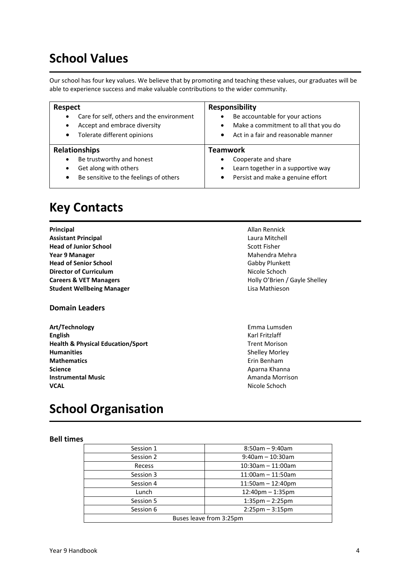# **School Values**

Our school has four key values. We believe that by promoting and teaching these values, our graduates will be able to experience success and make valuable contributions to the wider community.

| <b>Respect</b><br>Care for self, others and the environment<br>$\bullet$<br>Accept and embrace diversity<br>$\bullet$<br>Tolerate different opinions<br>$\bullet$ | <b>Responsibility</b><br>Be accountable for your actions<br>Make a commitment to all that you do<br>$\bullet$<br>Act in a fair and reasonable manner<br>$\bullet$ |
|-------------------------------------------------------------------------------------------------------------------------------------------------------------------|-------------------------------------------------------------------------------------------------------------------------------------------------------------------|
| <b>Relationships</b>                                                                                                                                              | Teamwork                                                                                                                                                          |
|                                                                                                                                                                   |                                                                                                                                                                   |
| Be trustworthy and honest<br>$\bullet$<br>Get along with others<br>٠                                                                                              | Cooperate and share<br>Learn together in a supportive way<br>$\bullet$                                                                                            |

# **Key Contacts**

**Principal Allan Rennick**<br> **Allan Rennick**<br> **Assistant Principal Assistant Principal Assistant Principal Head of Junior School** Scott Fisher **Year 9 Manager** Manager Mahendra Mehra **Head of Senior School** Gabby Plunkett **Director of Curriculum Nicole Schoch Nicole Schoch Careers & VET Managers Careers & VET Managers Holly O'Brien / Gayle Shelley Student Wellbeing Manager Lisa Mathieson** 

# **Domain Leaders**

**Art/Technology** Emma Lumsden **English** Karl Fritzlaff **Health & Physical Education/Sport** Trent Morison **Humanities** Shelley Morley **Mathematics Example 2018 Example 2018 Example 2018 Example 2018 Example 2019 Example 2019 Example 2019 Science** Aparna Khanna **Instrumental Music Amanda Morrison VCAL VCAL Nicole Schoch** 

# **School Organisation**

### **Bell times**

| Session 1               | $8:50$ am - 9:40am      |  |
|-------------------------|-------------------------|--|
| Session 2               | $9:40$ am - 10:30am     |  |
| Recess                  | $10:30$ am - 11:00am    |  |
| Session 3               | $11:00$ am - $11:50$ am |  |
| Session 4               | $11:50$ am $-12:40$ pm  |  |
| Lunch                   | $12:40$ pm $-1:35$ pm   |  |
| Session 5               | $1:35$ pm $- 2:25$ pm   |  |
| Session 6               | $2:25$ pm $-3:15$ pm    |  |
| Buses leave from 3:25pm |                         |  |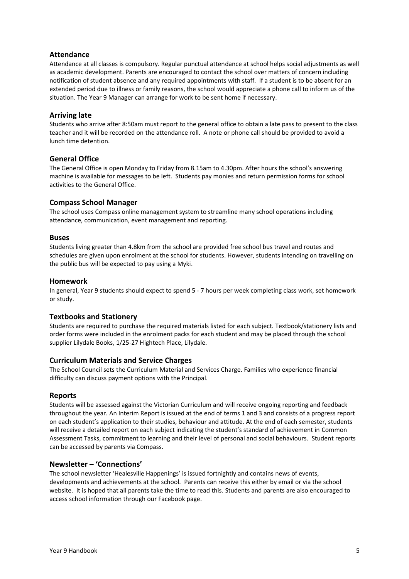# **Attendance**

Attendance at all classes is compulsory. Regular punctual attendance at school helps social adjustments as well as academic development. Parents are encouraged to contact the school over matters of concern including notification of student absence and any required appointments with staff. If a student is to be absent for an extended period due to illness or family reasons, the school would appreciate a phone call to inform us of the situation. The Year 9 Manager can arrange for work to be sent home if necessary.

### **Arriving late**

Students who arrive after 8:50am must report to the general office to obtain a late pass to present to the class teacher and it will be recorded on the attendance roll. A note or phone call should be provided to avoid a lunch time detention.

#### **General Office**

The General Office is open Monday to Friday from 8.15am to 4.30pm. After hours the school's answering machine is available for messages to be left. Students pay monies and return permission forms for school activities to the General Office.

#### **Compass School Manager**

The school uses Compass online management system to streamline many school operations including attendance, communication, event management and reporting.

#### **Buses**

Students living greater than 4.8km from the school are provided free school bus travel and routes and schedules are given upon enrolment at the school for students. However, students intending on travelling on the public bus will be expected to pay using a Myki.

#### **Homework**

In general, Year 9 students should expect to spend 5 - 7 hours per week completing class work, set homework or study.

#### **Textbooks and Stationery**

Students are required to purchase the required materials listed for each subject. Textbook/stationery lists and order forms were included in the enrolment packs for each student and may be placed through the school supplier Lilydale Books, 1/25-27 Hightech Place, Lilydale.

#### **Curriculum Materials and Service Charges**

The School Council sets the Curriculum Material and Services Charge. Families who experience financial difficulty can discuss payment options with the Principal.

#### **Reports**

Students will be assessed against the Victorian Curriculum and will receive ongoing reporting and feedback throughout the year. An Interim Report is issued at the end of terms 1 and 3 and consists of a progress report on each student's application to their studies, behaviour and attitude. At the end of each semester, students will receive a detailed report on each subject indicating the student's standard of achievement in Common Assessment Tasks, commitment to learning and their level of personal and social behaviours. Student reports can be accessed by parents via Compass.

#### **Newsletter – 'Connections'**

The school newsletter 'Healesville Happenings' is issued fortnightly and contains news of events, developments and achievements at the school. Parents can receive this either by email or via the school website. It is hoped that all parents take the time to read this. Students and parents are also encouraged to access school information through our Facebook page.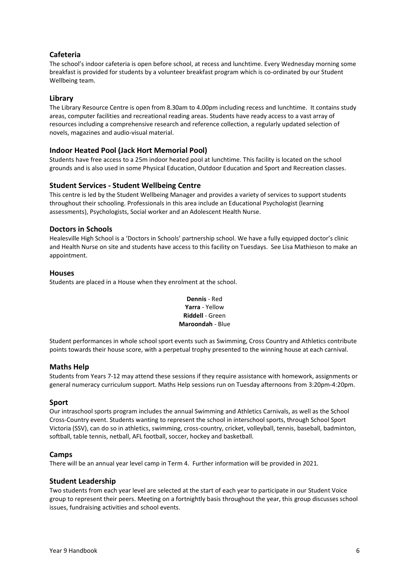# **Cafeteria**

The school's indoor cafeteria is open before school, at recess and lunchtime. Every Wednesday morning some breakfast is provided for students by a volunteer breakfast program which is co-ordinated by our Student Wellbeing team.

# **Library**

The Library Resource Centre is open from 8.30am to 4.00pm including recess and lunchtime. It contains study areas, computer facilities and recreational reading areas. Students have ready access to a vast array of resources including a comprehensive research and reference collection, a regularly updated selection of novels, magazines and audio-visual material.

# **Indoor Heated Pool (Jack Hort Memorial Pool)**

Students have free access to a 25m indoor heated pool at lunchtime. This facility is located on the school grounds and is also used in some Physical Education, Outdoor Education and Sport and Recreation classes.

# **Student Services - Student Wellbeing Centre**

This centre is led by the Student Wellbeing Manager and provides a variety of services to support students throughout their schooling. Professionals in this area include an Educational Psychologist (learning assessments), Psychologists, Social worker and an Adolescent Health Nurse.

### **Doctors in Schools**

Healesville High School is a 'Doctors in Schools' partnership school. We have a fully equipped doctor's clinic and Health Nurse on site and students have access to this facility on Tuesdays. See Lisa Mathieson to make an appointment.

#### **Houses**

Students are placed in a House when they enrolment at the school.

### **Dennis** - Red **Yarra** - Yellow **Riddell** - Green **Maroondah** - Blue

Student performances in whole school sport events such as Swimming, Cross Country and Athletics contribute points towards their house score, with a perpetual trophy presented to the winning house at each carnival.

### **Maths Help**

Students from Years 7-12 may attend these sessions if they require assistance with homework, assignments or general numeracy curriculum support. Maths Help sessions run on Tuesday afternoons from 3:20pm-4:20pm.

### **Sport**

Our intraschool sports program includes the annual Swimming and Athletics Carnivals, as well as the School Cross-Country event. Students wanting to represent the school in interschool sports, through School Sport Victoria (SSV), can do so in athletics, swimming, cross-country, cricket, volleyball, tennis, baseball, badminton, softball, table tennis, netball, AFL football, soccer, hockey and basketball.

### **Camps**

There will be an annual year level camp in Term 4. Further information will be provided in 2021.

### **Student Leadership**

Two students from each year level are selected at the start of each year to participate in our Student Voice group to represent their peers. Meeting on a fortnightly basis throughout the year, this group discusses school issues, fundraising activities and school events.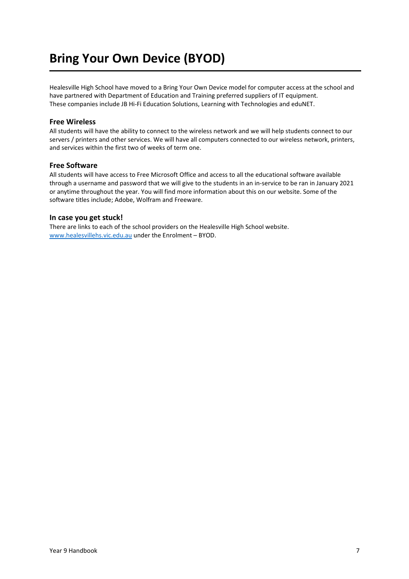# **Bring Your Own Device (BYOD)**

Healesville High School have moved to a Bring Your Own Device model for computer access at the school and have partnered with Department of Education and Training preferred suppliers of IT equipment. These companies include JB Hi-Fi Education Solutions, Learning with Technologies and eduNET.

### **Free Wireless**

All students will have the ability to connect to the wireless network and we will help students connect to our servers / printers and other services. We will have all computers connected to our wireless network, printers, and services within the first two of weeks of term one.

#### **Free Software**

All students will have access to Free Microsoft Office and access to all the educational software available through a username and password that we will give to the students in an in-service to be ran in January 2021 or anytime throughout the year. You will find more information about this on our website. Some of the software titles include; Adobe, Wolfram and Freeware.

#### **In case you get stuck!**

There are links to each of the school providers on the Healesville High School website. [www.healesvillehs.vic.edu.au](http://www.healesvillehs.vic.edu.au/) under the Enrolment – BYOD.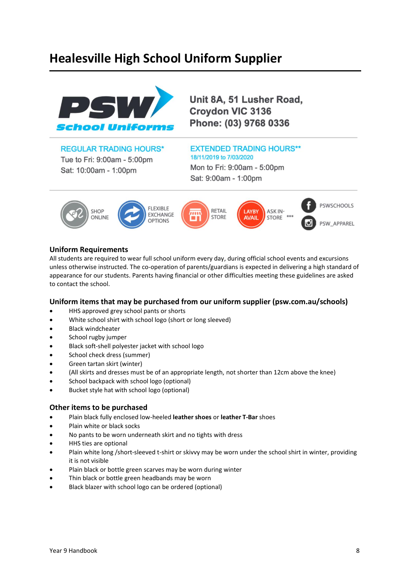# **Healesville High School Uniform Supplier**



Unit 8A, 51 Lusher Road, Croydon VIC 3136 Phone: (03) 9768 0336

# **REGULAR TRADING HOURS\***

Tue to Fri: 9:00am - 5:00pm Sat: 10:00am - 1:00pm

# **EXTENDED TRADING HOURS\*\*** 18/11/2019 to 7/03/2020

Mon to Fri: 9:00am - 5:00pm Sat: 9:00am - 1:00pm



# **Uniform Requirements**

All students are required to wear full school uniform every day, during official school events and excursions unless otherwise instructed. The co-operation of parents/guardians is expected in delivering a high standard of appearance for our students. Parents having financial or other difficulties meeting these guidelines are asked to contact the school.

### **Uniform items that may be purchased from our uniform supplier (psw.com.au/schools)**

- HHS approved grey school pants or shorts
- White school shirt with school logo (short or long sleeved)
- Black windcheater
- School rugby jumper
- Black soft-shell polyester jacket with school logo
- School check dress (summer)
- Green tartan skirt (winter)
- (All skirts and dresses must be of an appropriate length, not shorter than 12cm above the knee)
- School backpack with school logo (optional)
- Bucket style hat with school logo (optional)

### **Other items to be purchased**

- Plain black fully enclosed low-heeled **leather shoes** or **leather T-Bar** shoes
- Plain white or black socks
- No pants to be worn underneath skirt and no tights with dress
- HHS ties are optional
- Plain white long /short-sleeved t-shirt or skivvy may be worn under the school shirt in winter, providing it is not visible
- Plain black or bottle green scarves may be worn during winter
- Thin black or bottle green headbands may be worn
- Black blazer with school logo can be ordered (optional)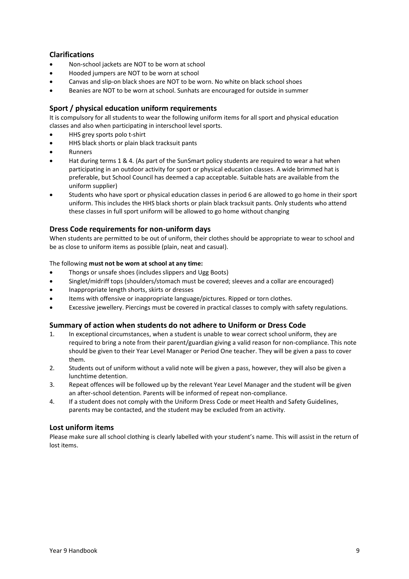# **Clarifications**

- Non-school jackets are NOT to be worn at school
- Hooded jumpers are NOT to be worn at school
- Canvas and slip-on black shoes are NOT to be worn. No white on black school shoes
- Beanies are NOT to be worn at school. Sunhats are encouraged for outside in summer

# **Sport / physical education uniform requirements**

It is compulsory for all students to wear the following uniform items for all sport and physical education classes and also when participating in interschool level sports.

- HHS grey sports polo t-shirt
- HHS black shorts or plain black tracksuit pants
- **Runners**
- Hat during terms 1 & 4. (As part of the SunSmart policy students are required to wear a hat when participating in an outdoor activity for sport or physical education classes. A wide brimmed hat is preferable, but School Council has deemed a cap acceptable. Suitable hats are available from the uniform supplier)
- Students who have sport or physical education classes in period 6 are allowed to go home in their sport uniform. This includes the HHS black shorts or plain black tracksuit pants. Only students who attend these classes in full sport uniform will be allowed to go home without changing

# **Dress Code requirements for non-uniform days**

When students are permitted to be out of uniform, their clothes should be appropriate to wear to school and be as close to uniform items as possible (plain, neat and casual).

#### The following **must not be worn at school at any time:**

- Thongs or unsafe shoes (includes slippers and Ugg Boots)
- Singlet/midriff tops (shoulders/stomach must be covered; sleeves and a collar are encouraged)
- Inappropriate length shorts, skirts or dresses
- Items with offensive or inappropriate language/pictures. Ripped or torn clothes.
- Excessive jewellery. Piercings must be covered in practical classes to comply with safety regulations.

### **Summary of action when students do not adhere to Uniform or Dress Code**

- 1. In exceptional circumstances, when a student is unable to wear correct school uniform, they are required to bring a note from their parent/guardian giving a valid reason for non-compliance. This note should be given to their Year Level Manager or Period One teacher. They will be given a pass to cover them.
- 2. Students out of uniform without a valid note will be given a pass, however, they will also be given a lunchtime detention.
- 3. Repeat offences will be followed up by the relevant Year Level Manager and the student will be given an after-school detention. Parents will be informed of repeat non-compliance.
- 4. If a student does not comply with the Uniform Dress Code or meet Health and Safety Guidelines, parents may be contacted, and the student may be excluded from an activity.

### **Lost uniform items**

Please make sure all school clothing is clearly labelled with your student's name. This will assist in the return of lost items.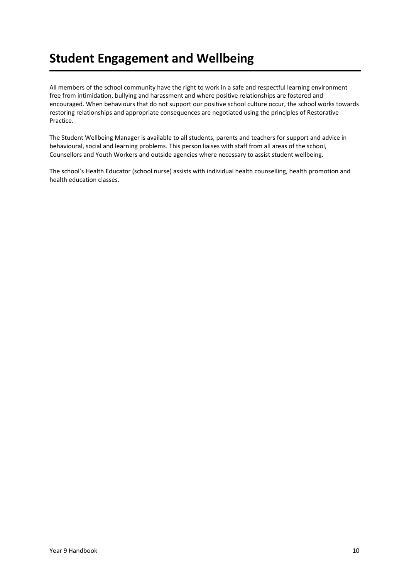# **Student Engagement and Wellbeing**

All members of the school community have the right to work in a safe and respectful learning environment free from intimidation, bullying and harassment and where positive relationships are fostered and encouraged. When behaviours that do not support our positive school culture occur, the school works towards restoring relationships and appropriate consequences are negotiated using the principles of Restorative Practice.

The Student Wellbeing Manager is available to all students, parents and teachers for support and advice in behavioural, social and learning problems. This person liaises with staff from all areas of the school, Counsellors and Youth Workers and outside agencies where necessary to assist student wellbeing.

The school's Health Educator (school nurse) assists with individual health counselling, health promotion and health education classes.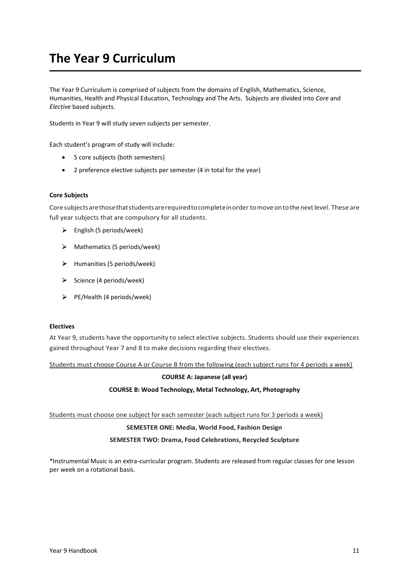# **The Year 9 Curriculum**

The Year 9 Curriculum is comprised of subjects from the domains of English, Mathematics, Science, Humanities, Health and Physical Education, Technology and The Arts. Subjects are divided into *Core* and *Elective* based subjects.

Students in Year 9 will study seven subjects per semester.

Each student's program of study will include:

- 5 core subjects (both semesters)
- 2 preference elective subjects per semester (4 in total for the year)

#### **Core Subjects**

Core subjectsarethosethatstudentsarerequiredtocompleteinorder tomoveontothenextlevel. These are full year subjects that are compulsory for all students.

- $\triangleright$  English (5 periods/week)
- $\triangleright$  Mathematics (5 periods/week)
- $\blacktriangleright$  Humanities (5 periods/week)
- $\triangleright$  Science (4 periods/week)
- $\triangleright$  PE/Health (4 periods/week)

#### **Electives**

At Year 9, students have the opportunity to select elective subjects. Students should use their experiences gained throughout Year 7 and 8 to make decisions regarding their electives.

Students must choose Course A or Course B from the following (each subject runs for 4 periods a week)

# **COURSE A: Japanese (all year)**

# **COURSE B: Wood Technology, Metal Technology, Art, Photography**

Students must choose one subject for each semester (each subject runs for 3 periods a week)

#### **SEMESTER ONE: Media, World Food, Fashion Design**

#### **SEMESTER TWO: Drama, Food Celebrations, Recycled Sculpture**

\*Instrumental Music is an extra-curricular program. Students are released from regular classes for one lesson per week on a rotational basis.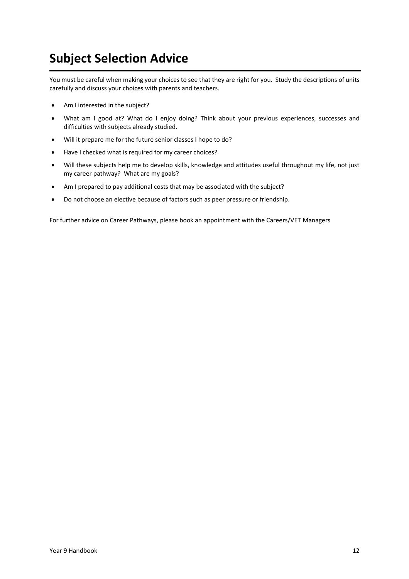# **Subject Selection Advice**

You must be careful when making your choices to see that they are right for you. Study the descriptions of units carefully and discuss your choices with parents and teachers.

- Am I interested in the subject?
- What am I good at? What do I enjoy doing? Think about your previous experiences, successes and difficulties with subjects already studied.
- Will it prepare me for the future senior classes I hope to do?
- Have I checked what is required for my career choices?
- Will these subjects help me to develop skills, knowledge and attitudes useful throughout my life, not just my career pathway? What are my goals?
- Am I prepared to pay additional costs that may be associated with the subject?
- Do not choose an elective because of factors such as peer pressure or friendship.

For further advice on Career Pathways, please book an appointment with the Careers/VET Managers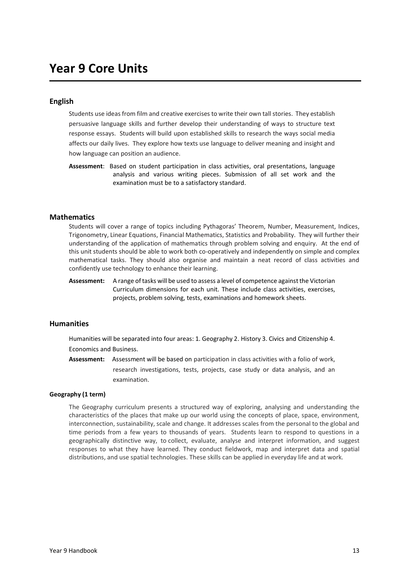# **Year 9 Core Units**

### **English**

Students use ideas from film and creative exercises to write their own tall stories. They establish persuasive language skills and further develop their understanding of ways to structure text response essays. Students will build upon established skills to research the ways social media affects our daily lives. They explore how texts use language to deliver meaning and insight and how language can position an audience.

**Assessment**: Based on student participation in class activities, oral presentations, language analysis and various writing pieces. Submission of all set work and the examination must be to a satisfactory standard.

#### **Mathematics**

Students will cover a range of topics including Pythagoras' Theorem, Number, Measurement, Indices, Trigonometry, Linear Equations, Financial Mathematics, Statistics and Probability. They will further their understanding of the application of mathematics through problem solving and enquiry. At the end of this unit students should be able to work both co-operatively and independently on simple and complex mathematical tasks. They should also organise and maintain a neat record of class activities and confidently use technology to enhance their learning.

**Assessment:** A range of tasks will be used to assess a level of competence against the Victorian Curriculum dimensions for each unit. These include class activities, exercises, projects, problem solving, tests, examinations and homework sheets.

#### **Humanities**

Humanities will be separated into four areas: 1. Geography 2. History 3. Civics and Citizenship 4. Economics and Business.

**Assessment:** Assessment will be based on participation in class activities with a folio of work, research investigations, tests, projects, case study or data analysis, and an examination.

#### **Geography (1 term)**

The Geography curriculum presents a structured way of exploring, analysing and understanding the characteristics of the places that make up our world using the concepts of place, space, environment, interconnection, sustainability, scale and change. It addresses scales from the personal to the global and time periods from a few years to thousands of years. Students learn to respond to questions in a geographically distinctive way, to collect, evaluate, analyse and interpret information, and suggest responses to what they have learned. They conduct fieldwork, map and interpret data and spatial distributions, and use spatial technologies. These skills can be applied in everyday life and at work.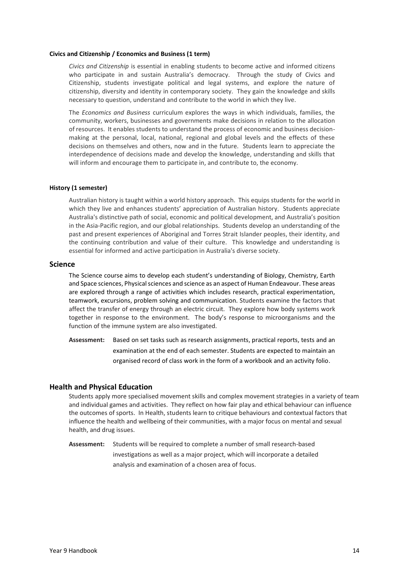#### **Civics and Citizenship / Economics and Business (1 term)**

*Civics and Citizenship* is essential in enabling students to become active and informed citizens who participate in and sustain Australia's democracy. Through the study of Civics and Citizenship, students investigate political and legal systems, and explore the nature of citizenship, diversity and identity in contemporary society. They gain the knowledge and skills necessary to question, understand and contribute to the world in which they live.

The *Economics and Business* curriculum explores the ways in which individuals, families, the community, workers, businesses and governments make decisions in relation to the allocation of resources. It enables students to understand the process of economic and business decisionmaking at the personal, local, national, regional and global levels and the effects of these decisions on themselves and others, now and in the future. Students learn to appreciate the interdependence of decisions made and develop the knowledge, understanding and skills that will inform and encourage them to participate in, and contribute to, the economy.

#### **History (1 semester)**

Australian history is taught within a world history approach. This equips students for the world in which they live and enhances students' appreciation of Australian history. Students appreciate Australia's distinctive path of social, economic and political development, and Australia's position in the Asia-Pacific region, and our global relationships. Students develop an understanding of the past and present experiences of Aboriginal and Torres Strait Islander peoples, their identity, and the continuing contribution and value of their culture. This knowledge and understanding is essential for informed and active participation in Australia's diverse society.

#### **Science**

The Science course aims to develop each student's understanding of Biology, Chemistry, Earth and Space sciences, Physical sciences and science as an aspect of Human Endeavour. These areas are explored through a range of activities which includes research, practical experimentation, teamwork, excursions, problem solving and communication. Students examine the factors that affect the transfer of energy through an electric circuit. They explore how body systems work together in response to the environment. The body's response to microorganisms and the function of the immune system are also investigated.

**Assessment:** Based on set tasks such as research assignments, practical reports, tests and an examination at the end of each semester. Students are expected to maintain an organised record of class work in the form of a workbook and an activity folio.

#### **Health and Physical Education**

Students apply more specialised movement skills and complex movement strategies in a variety of team and individual games and activities. They reflect on how fair play and ethical behaviour can influence the outcomes of sports. In Health, students learn to critique behaviours and contextual factors that influence the health and wellbeing of their communities, with a major focus on mental and sexual health, and drug issues.

**Assessment:** Students will be required to complete a number of small research-based investigations as well as a major project, which will incorporate a detailed analysis and examination of a chosen area of focus.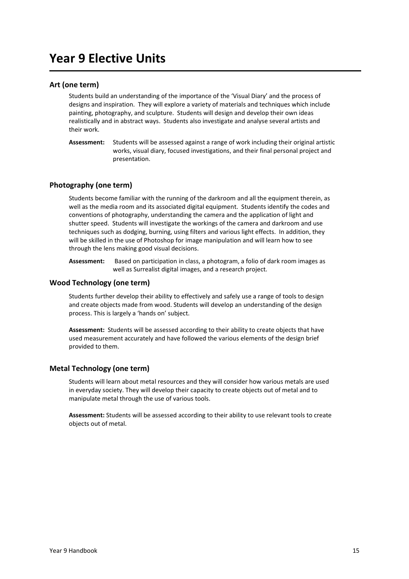# **Year 9 Elective Units**

### **Art (one term)**

Students build an understanding of the importance of the 'Visual Diary' and the process of designs and inspiration. They will explore a variety of materials and techniques which include painting, photography, and sculpture. Students will design and develop their own ideas realistically and in abstract ways. Students also investigate and analyse several artists and their work.

**Assessment:** Students will be assessed against a range of work including their original artistic works, visual diary, focused investigations, and their final personal project and presentation.

# **Photography (one term)**

Students become familiar with the running of the darkroom and all the equipment therein, as well as the media room and its associated digital equipment. Students identify the codes and conventions of photography, understanding the camera and the application of light and shutter speed. Students will investigate the workings of the camera and darkroom and use techniques such as dodging, burning, using filters and various light effects. In addition, they will be skilled in the use of Photoshop for image manipulation and will learn how to see through the lens making good visual decisions.

**Assessment:** Based on participation in class, a photogram, a folio of dark room images as well as Surrealist digital images, and a research project.

### **Wood Technology (one term)**

Students further develop their ability to effectively and safely use a range of tools to design and create objects made from wood. Students will develop an understanding of the design process. This is largely a 'hands on' subject.

**Assessment:** Students will be assessed according to their ability to create objects that have used measurement accurately and have followed the various elements of the design brief provided to them.

### **Metal Technology (one term)**

Students will learn about metal resources and they will consider how various metals are used in everyday society. They will develop their capacity to create objects out of metal and to manipulate metal through the use of various tools.

**Assessment:** Students will be assessed according to their ability to use relevant tools to create objects out of metal.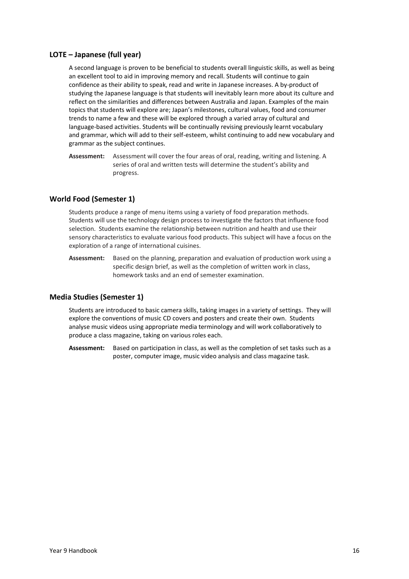### **LOTE – Japanese (full year)**

A second language is proven to be beneficial to students overall linguistic skills, as well as being an excellent tool to aid in improving memory and recall. Students will continue to gain confidence as their ability to speak, read and write in Japanese increases. A by-product of studying the Japanese language is that students will inevitably learn more about its culture and reflect on the similarities and differences between Australia and Japan. Examples of the main topics that students will explore are; Japan's milestones, cultural values, food and consumer trends to name a few and these will be explored through a varied array of cultural and language-based activities. Students will be continually revising previously learnt vocabulary and grammar, which will add to their self-esteem, whilst continuing to add new vocabulary and grammar as the subject continues.

**Assessment:** Assessment will cover the four areas of oral, reading, writing and listening. A series of oral and written tests will determine the student's ability and progress.

#### **World Food (Semester 1)**

Students produce a range of menu items using a variety of food preparation methods. Students will use the technology design process to investigate the factors that influence food selection. Students examine the relationship between nutrition and health and use their sensory characteristics to evaluate various food products. This subject will have a focus on the exploration of a range of international cuisines.

**Assessment:** Based on the planning, preparation and evaluation of production work using a specific design brief, as well as the completion of written work in class, homework tasks and an end of semester examination.

#### **Media Studies (Semester 1)**

Students are introduced to basic camera skills, taking images in a variety of settings. They will explore the conventions of music CD covers and posters and create their own. Students analyse music videos using appropriate media terminology and will work collaboratively to produce a class magazine, taking on various roles each.

**Assessment:** Based on participation in class, as well as the completion of set tasks such as a poster, computer image, music video analysis and class magazine task.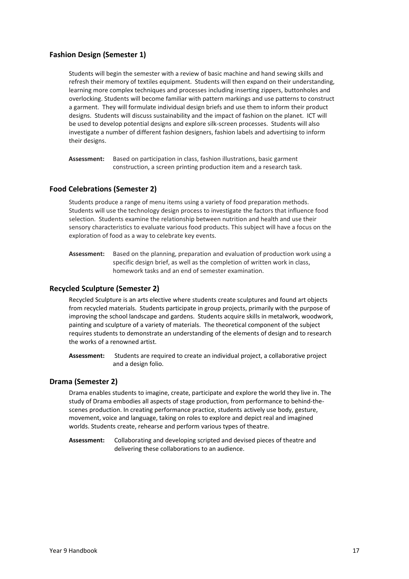# **Fashion Design (Semester 1)**

Students will begin the semester with a review of basic machine and hand sewing skills and refresh their memory of textiles equipment. Students will then expand on their understanding, learning more complex techniques and processes including inserting zippers, buttonholes and overlocking. Students will become familiar with pattern markings and use patterns to construct a garment. They will formulate individual design briefs and use them to inform their product designs. Students will discuss sustainability and the impact of fashion on the planet. ICT will be used to develop potential designs and explore silk-screen processes. Students will also investigate a number of different fashion designers, fashion labels and advertising to inform their designs.

**Assessment:** Based on participation in class, fashion illustrations, basic garment construction, a screen printing production item and a research task.

### **Food Celebrations (Semester 2)**

Students produce a range of menu items using a variety of food preparation methods. Students will use the technology design process to investigate the factors that influence food selection. Students examine the relationship between nutrition and health and use their sensory characteristics to evaluate various food products. This subject will have a focus on the exploration of food as a way to celebrate key events.

**Assessment:** Based on the planning, preparation and evaluation of production work using a specific design brief, as well as the completion of written work in class, homework tasks and an end of semester examination.

#### **Recycled Sculpture (Semester 2)**

Recycled Sculpture is an arts elective where students create sculptures and found art objects from recycled materials. Students participate in group projects, primarily with the purpose of improving the school landscape and gardens. Students acquire skills in metalwork, woodwork, painting and sculpture of a variety of materials. The theoretical component of the subject requires students to demonstrate an understanding of the elements of design and to research the works of a renowned artist.

**Assessment:** Students are required to create an individual project, a collaborative project and a design folio.

#### **Drama (Semester 2)**

Drama enables students to imagine, create, participate and explore the world they live in. The study of Drama embodies all aspects of stage production, from performance to behind-thescenes production. In creating performance practice, students actively use body, gesture, movement, voice and language, taking on roles to explore and depict real and imagined worlds. Students create, rehearse and perform various types of theatre.

**Assessment:** Collaborating and developing scripted and devised pieces of theatre and delivering these collaborations to an audience.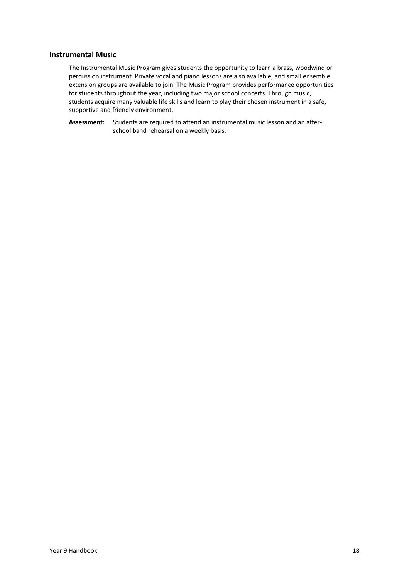#### **Instrumental Music**

The Instrumental Music Program gives students the opportunity to learn a brass, woodwind or percussion instrument. Private vocal and piano lessons are also available, and small ensemble extension groups are available to join. The Music Program provides performance opportunities for students throughout the year, including two major school concerts. Through music, students acquire many valuable life skills and learn to play their chosen instrument in a safe, supportive and friendly environment.

**Assessment:** Students are required to attend an instrumental music lesson and an afterschool band rehearsal on a weekly basis.